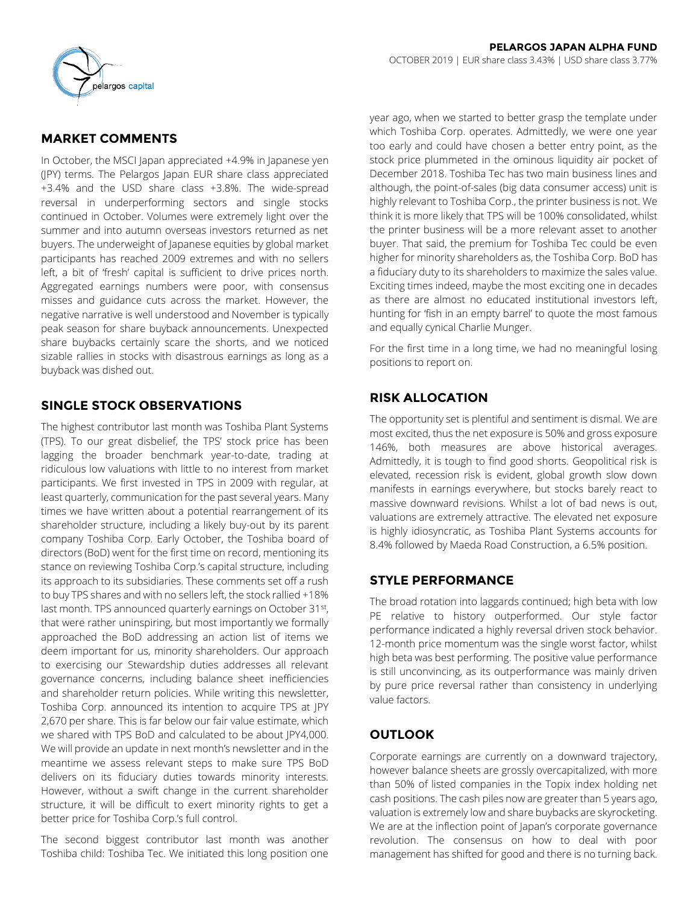

# **MARKET COMMENTS**

In October, the MSCI Japan appreciated +4.9% in Japanese yen (JPY) terms. The Pelargos Japan EUR share class appreciated +3.4% and the USD share class +3.8%. The wide-spread reversal in underperforming sectors and single stocks continued in October. Volumes were extremely light over the summer and into autumn overseas investors returned as net buyers. The underweight of Japanese equities by global market participants has reached 2009 extremes and with no sellers left, a bit of 'fresh' capital is sufficient to drive prices north. Aggregated earnings numbers were poor, with consensus misses and guidance cuts across the market. However, the negative narrative is well understood and November is typically peak season for share buyback announcements. Unexpected share buybacks certainly scare the shorts, and we noticed sizable rallies in stocks with disastrous earnings as long as a buyback was dished out.

## **SINGLE STOCK OBSERVATIONS**

The highest contributor last month was Toshiba Plant Systems (TPS). To our great disbelief, the TPS' stock price has been lagging the broader benchmark year-to-date, trading at ridiculous low valuations with little to no interest from market participants. We first invested in TPS in 2009 with regular, at least quarterly, communication for the past several years. Many times we have written about a potential rearrangement of its shareholder structure, including a likely buy-out by its parent company Toshiba Corp. Early October, the Toshiba board of directors (BoD) went for the first time on record, mentioning its stance on reviewing Toshiba Corp.'s capital structure, including its approach to its subsidiaries. These comments set off a rush to buy TPS shares and with no sellers left, the stock rallied +18% last month. TPS announced quarterly earnings on October 31st, that were rather uninspiring, but most importantly we formally approached the BoD addressing an action list of items we deem important for us, minority shareholders. Our approach to exercising our Stewardship duties addresses all relevant governance concerns, including balance sheet inefficiencies and shareholder return policies. While writing this newsletter, Toshiba Corp. announced its intention to acquire TPS at JPY 2,670 per share. This is far below our fair value estimate, which we shared with TPS BoD and calculated to be about JPY4,000. We will provide an update in next month's newsletter and in the meantime we assess relevant steps to make sure TPS BoD delivers on its fiduciary duties towards minority interests. However, without a swift change in the current shareholder structure, it will be difficult to exert minority rights to get a better price for Toshiba Corp.'s full control.

The second biggest contributor last month was another Toshiba child: Toshiba Tec. We initiated this long position one year ago, when we started to better grasp the template under which Toshiba Corp. operates. Admittedly, we were one year too early and could have chosen a better entry point, as the stock price plummeted in the ominous liquidity air pocket of December 2018. Toshiba Tec has two main business lines and although, the point-of-sales (big data consumer access) unit is highly relevant to Toshiba Corp., the printer business is not. We think it is more likely that TPS will be 100% consolidated, whilst the printer business will be a more relevant asset to another buyer. That said, the premium for Toshiba Tec could be even higher for minority shareholders as, the Toshiba Corp. BoD has a fiduciary duty to its shareholders to maximize the sales value. Exciting times indeed, maybe the most exciting one in decades as there are almost no educated institutional investors left, hunting for 'fish in an empty barrel' to quote the most famous and equally cynical Charlie Munger.

For the first time in a long time, we had no meaningful losing positions to report on.

# **RISK ALLOCATION**

The opportunity set is plentiful and sentiment is dismal. We are most excited, thus the net exposure is 50% and gross exposure 146%, both measures are above historical averages. Admittedly, it is tough to find good shorts. Geopolitical risk is elevated, recession risk is evident, global growth slow down manifests in earnings everywhere, but stocks barely react to massive downward revisions. Whilst a lot of bad news is out, valuations are extremely attractive. The elevated net exposure is highly idiosyncratic, as Toshiba Plant Systems accounts for 8.4% followed by Maeda Road Construction, a 6.5% position.

## **STYLE PERFORMANCE**

The broad rotation into laggards continued; high beta with low PE relative to history outperformed. Our style factor performance indicated a highly reversal driven stock behavior. 12-month price momentum was the single worst factor, whilst high beta was best performing. The positive value performance is still unconvincing, as its outperformance was mainly driven by pure price reversal rather than consistency in underlying value factors.

# **OUTLOOK**

Corporate earnings are currently on a downward trajectory, however balance sheets are grossly overcapitalized, with more than 50% of listed companies in the Topix index holding net cash positions. The cash piles now are greater than 5 years ago, valuation is extremely low and share buybacks are skyrocketing. We are at the inflection point of Japan's corporate governance revolution. The consensus on how to deal with poor management has shifted for good and there is no turning back.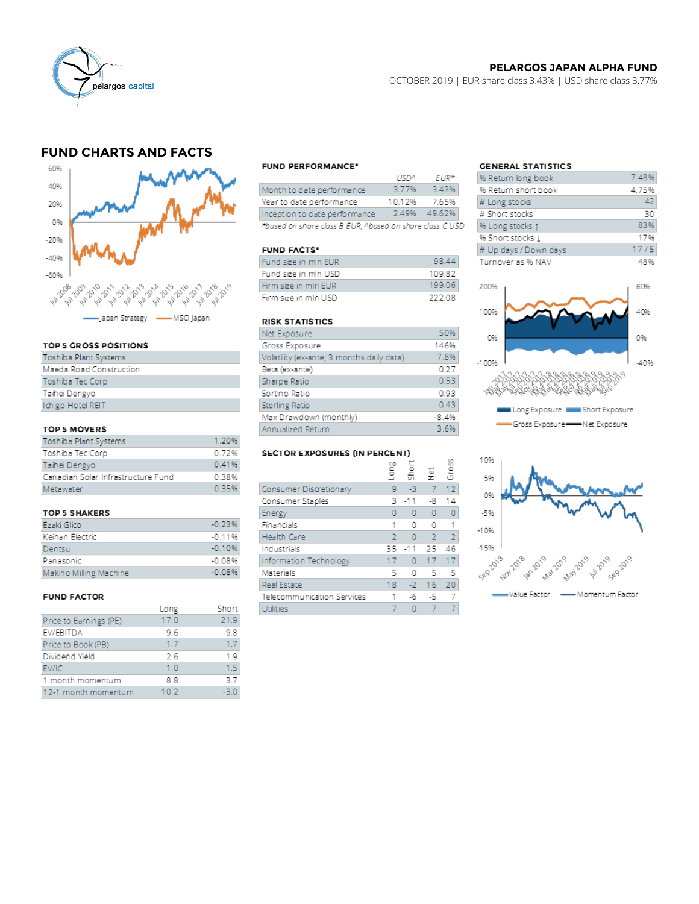

### **PELARGOS JAPAN ALPHA FUND**

OCTOBER 2019 | EUR share class 3.43% | USD share class 3.77%

# **FUND CHARTS AND FACTS**



#### TOP 5 GROSS POSITIONS

| Toshiba Plant Systems   |
|-------------------------|
| Maeda Road Construction |
| Toshiba Tec Corp        |
| Taihei Dengyo           |
| Ichigo Hotel REIT       |
|                         |

#### TOP 5 MOVERS

| Toshiba Plant Systems              | 1.20% |
|------------------------------------|-------|
| Toshiba Tec Corp                   | 0.72% |
| Taihei Dengyo                      | 0.41% |
| Canadian Solar Infrastructure Fund | 0.38% |
| Metawater                          | 0.35% |

#### **TOP 5 SHAKERS**

| Ezaki Glico            | $-0.23%$ |
|------------------------|----------|
| Keihan Electric        | $-0.11%$ |
| Dentsu                 | $-0.10%$ |
| Panasonic              | -0.08%   |
| Makino Milling Machine | $-0.08%$ |

#### **FUND FACTOR**

|                        | Long | Short  |
|------------------------|------|--------|
| Price to Earnings (PE) | 17.0 | 21.9   |
| EV/EBITDA              | 9.6  | 9.8    |
| Price to Book (PB)     | 1.7  | 1.7    |
| Dividend Yield         | 2.6  | 1.9    |
| EV/IC                  | 1.0  | 1.5    |
| 1 month momentum       | 8.8  | 3.7    |
| 12-1 month momentum    | 10.2 | $-3.0$ |
|                        |      |        |

#### **FUND PERFORMANCE\***

|                                                          | 11572  | FUR*         |
|----------------------------------------------------------|--------|--------------|
| Month to date performance                                | 3.77%  | 3.43%        |
| Year to date performance                                 | 10.12% | 7.65%        |
| Inception to date performance                            |        | 2.49% 49.62% |
| *based on share class B EUR, ^based on share class C USD |        |              |

#### **FUND FACTS\***

| Fund size in mIn EUR  | 98.44  |
|-----------------------|--------|
| Fund size in mIn USD  | 10982  |
| Firm size in mIn EUR. | 199.06 |
| Firm size in mIn USD  | 222.08 |

#### **RISK STATISTICS**

| Net Exposure                              | 50%     |
|-------------------------------------------|---------|
| Gross Exposure                            | 146%    |
| Volatility (ex-ante; 3 months daily data) | 7.8%    |
| Beta (ex-ante)                            | 0.27    |
| Sharpe Ratio                              | 0.53    |
| Sortino Ratio                             | 0.93    |
| <b>Sterling Ratio</b>                     | 0.43    |
| Max Drawdown (monthly)                    | $-8.4%$ |
| Annualized Return                         | 3.6%    |

#### SECTOR EXPOSURES (IN PERCENT)

|                            | guo T | Short    | $\overset{\text{\tiny{\'el}}}{\mathsf{z}}$ | Gross          |
|----------------------------|-------|----------|--------------------------------------------|----------------|
| Consumer Discretionary     | 9     | -3       | 7                                          | 12             |
| Consumer Staples           | 3     | $-11$    | -8                                         | 14             |
| Energy                     | n     | n        | 0                                          | 0              |
| Financials                 | 1     | Ω        | 0                                          |                |
| Health Care                | 2     | n        | $\overline{2}$                             | $\overline{2}$ |
| Industrials                | 35    | $-11$    | 25                                         | 46             |
| Information Technology     | 17    | $\Omega$ | 17                                         | 17             |
| Materials                  | 5     | Ω        | 5                                          | 5              |
| <b>Real Estate</b>         | 18    | $-2$     | 16                                         | 20             |
| Telecommunication Services |       | -6       | -5                                         |                |
| Utilities                  |       |          |                                            |                |

## **GENERAL STATISTICS**

| % Return long book    | 7.48% |
|-----------------------|-------|
| % Return short book   | 4.75% |
| # Long stocks         | 42    |
| # Short stocks        | 30    |
| % Long stocks 1       | 83%   |
| % Short stocks 1      | 17%   |
| # Up days / Down days | 17/5  |
| Turnover as % NAV     | 48%   |

 $\overline{a}$  and  $\overline{a}$